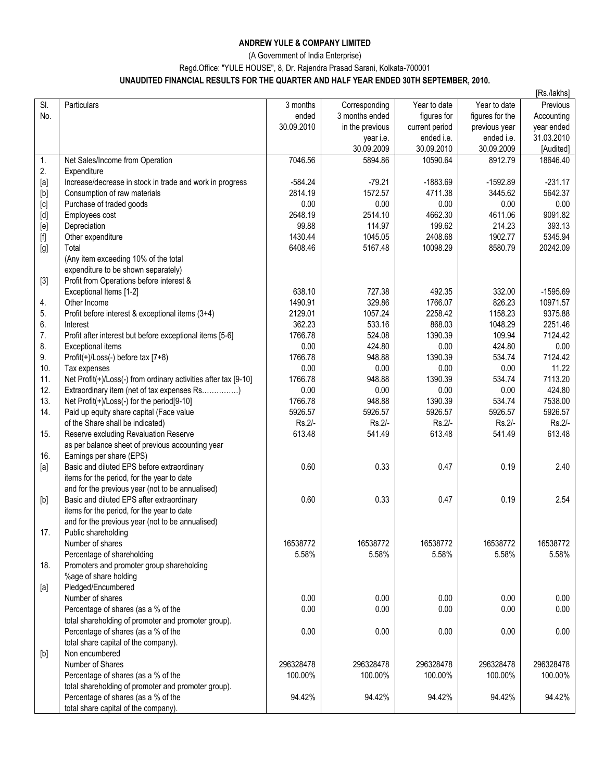## **ANDREW YULE & COMPANY LIMITED**

(A Government of India Enterprise)

Regd.Office: "YULE HOUSE", 8, Dr. Rajendra Prasad Sarani, Kolkata-700001

## **UNAUDITED FINANCIAL RESULTS FOR THE QUARTER AND HALF YEAR ENDED 30TH SEPTEMBER, 2010.**

|                                                                                                                                                                                                                                                                                                                                                                                                                                                                                                                                                                                                                              |                                                                 |            |                 |                |                 | [Rs./lakhs] |
|------------------------------------------------------------------------------------------------------------------------------------------------------------------------------------------------------------------------------------------------------------------------------------------------------------------------------------------------------------------------------------------------------------------------------------------------------------------------------------------------------------------------------------------------------------------------------------------------------------------------------|-----------------------------------------------------------------|------------|-----------------|----------------|-----------------|-------------|
| SI.                                                                                                                                                                                                                                                                                                                                                                                                                                                                                                                                                                                                                          | Particulars                                                     | 3 months   | Corresponding   | Year to date   | Year to date    | Previous    |
| No.                                                                                                                                                                                                                                                                                                                                                                                                                                                                                                                                                                                                                          |                                                                 | ended      | 3 months ended  | figures for    | figures for the | Accounting  |
|                                                                                                                                                                                                                                                                                                                                                                                                                                                                                                                                                                                                                              |                                                                 | 30.09.2010 | in the previous | current period | previous year   | year ended  |
|                                                                                                                                                                                                                                                                                                                                                                                                                                                                                                                                                                                                                              |                                                                 |            | year i.e.       | ended i.e.     | ended i.e.      | 31.03.2010  |
|                                                                                                                                                                                                                                                                                                                                                                                                                                                                                                                                                                                                                              |                                                                 |            | 30.09.2009      | 30.09.2010     | 30.09.2009      | [Audited]   |
| 1.                                                                                                                                                                                                                                                                                                                                                                                                                                                                                                                                                                                                                           | Net Sales/Income from Operation                                 | 7046.56    | 5894.86         | 10590.64       | 8912.79         | 18646.40    |
| 2.                                                                                                                                                                                                                                                                                                                                                                                                                                                                                                                                                                                                                           | Expenditure                                                     |            |                 |                |                 |             |
| $[a]% \centering \includegraphics[width=0.9\columnwidth]{figures/fig_0a}% \caption{The figure shows the function of the top of the top of the top of the top of the left.}\label{fig:1}$                                                                                                                                                                                                                                                                                                                                                                                                                                     | Increase/decrease in stock in trade and work in progress        | $-584.24$  | $-79.21$        | $-1883.69$     | $-1592.89$      | $-231.17$   |
|                                                                                                                                                                                                                                                                                                                                                                                                                                                                                                                                                                                                                              | Consumption of raw materials                                    | 2814.19    | 1572.57         | 4711.38        | 3445.62         | 5642.37     |
| $[b] % \begin{center} % \includegraphics[width=\linewidth]{imagesSupplemental_3.png} % \end{center} % \caption { % Our method can be used for the use of the image. % } % \label{fig:example} %$                                                                                                                                                                                                                                                                                                                                                                                                                             |                                                                 |            |                 |                |                 |             |
| $[c] % \begin{center} \includegraphics[width=0.65\textwidth]{figs/fig_4} \caption{Schematic plot of the parameter $\gamma$ (top) and the parameter $\gamma$ (bottom) for the parameter $\gamma$ (bottom) for the parameter $\gamma$ (bottom).} \label{fig:ex1} \end{center}$                                                                                                                                                                                                                                                                                                                                                 | Purchase of traded goods                                        | 0.00       | 0.00            | 0.00           | 0.00            | 0.00        |
| $[d] % \begin{center} % \includegraphics[width=\linewidth]{imagesSupplemental_3.png} % \end{center} % \caption { % \textit{DefNet} of \textit{DefNet} and \textit{DefNet} and \textit{DefNet} and \textit{DefNet} and \textit{DefNet} are used to be used. % \textit{DefNet} and \textit{DefNet} are used to be used. % \textit{DefNet} and \textit{DefNet} are used to be used. % \textit{DefNet} and \textit{DefNet} are used to be used. % \textit{DefNet} and \textit{DefNet} are used to be used. % \textit{DefNet} and \textit{DefNet} are used to be used. % \textit{DefNet} and \textit{DefNet} are used to be used$ | Employees cost                                                  | 2648.19    | 2514.10         | 4662.30        | 4611.06         | 9091.82     |
| [e]                                                                                                                                                                                                                                                                                                                                                                                                                                                                                                                                                                                                                          | Depreciation                                                    | 99.88      | 114.97          | 199.62         | 214.23          | 393.13      |
|                                                                                                                                                                                                                                                                                                                                                                                                                                                                                                                                                                                                                              | Other expenditure                                               | 1430.44    | 1045.05         | 2408.68        | 1902.77         | 5345.94     |
| [g]                                                                                                                                                                                                                                                                                                                                                                                                                                                                                                                                                                                                                          | Total                                                           | 6408.46    | 5167.48         | 10098.29       | 8580.79         | 20242.09    |
|                                                                                                                                                                                                                                                                                                                                                                                                                                                                                                                                                                                                                              | (Any item exceeding 10% of the total                            |            |                 |                |                 |             |
|                                                                                                                                                                                                                                                                                                                                                                                                                                                                                                                                                                                                                              | expenditure to be shown separately)                             |            |                 |                |                 |             |
| $[3]$                                                                                                                                                                                                                                                                                                                                                                                                                                                                                                                                                                                                                        | Profit from Operations before interest &                        |            |                 |                |                 |             |
|                                                                                                                                                                                                                                                                                                                                                                                                                                                                                                                                                                                                                              | Exceptional Items [1-2]                                         | 638.10     | 727.38          | 492.35         | 332.00          | $-1595.69$  |
| 4.                                                                                                                                                                                                                                                                                                                                                                                                                                                                                                                                                                                                                           | Other Income                                                    | 1490.91    | 329.86          | 1766.07        | 826.23          | 10971.57    |
| 5.                                                                                                                                                                                                                                                                                                                                                                                                                                                                                                                                                                                                                           | Profit before interest & exceptional items (3+4)                | 2129.01    | 1057.24         | 2258.42        | 1158.23         | 9375.88     |
| 6.                                                                                                                                                                                                                                                                                                                                                                                                                                                                                                                                                                                                                           | Interest                                                        | 362.23     | 533.16          | 868.03         | 1048.29         | 2251.46     |
| 7.                                                                                                                                                                                                                                                                                                                                                                                                                                                                                                                                                                                                                           | Profit after interest but before exceptional items [5-6]        | 1766.78    | 524.08          | 1390.39        | 109.94          | 7124.42     |
| 8.                                                                                                                                                                                                                                                                                                                                                                                                                                                                                                                                                                                                                           | Exceptional items                                               | 0.00       | 424.80          | 0.00           | 424.80          | 0.00        |
| 9.                                                                                                                                                                                                                                                                                                                                                                                                                                                                                                                                                                                                                           | Profit(+)/Loss(-) before tax [7+8)                              | 1766.78    | 948.88          | 1390.39        | 534.74          | 7124.42     |
| 10.                                                                                                                                                                                                                                                                                                                                                                                                                                                                                                                                                                                                                          | Tax expenses                                                    | 0.00       | 0.00            | 0.00           | 0.00            | 11.22       |
| 11.                                                                                                                                                                                                                                                                                                                                                                                                                                                                                                                                                                                                                          | Net Profit(+)/Loss(-) from ordinary activities after tax [9-10] | 1766.78    | 948.88          | 1390.39        | 534.74          | 7113.20     |
| 12.                                                                                                                                                                                                                                                                                                                                                                                                                                                                                                                                                                                                                          | Extraordinary item (net of tax expenses Rs)                     | 0.00       | 0.00            | 0.00           | 0.00            | 424.80      |
| 13.                                                                                                                                                                                                                                                                                                                                                                                                                                                                                                                                                                                                                          | Net Profit(+)/Loss(-) for the period[9-10]                      | 1766.78    | 948.88          | 1390.39        | 534.74          | 7538.00     |
| 14.                                                                                                                                                                                                                                                                                                                                                                                                                                                                                                                                                                                                                          |                                                                 | 5926.57    | 5926.57         | 5926.57        | 5926.57         | 5926.57     |
|                                                                                                                                                                                                                                                                                                                                                                                                                                                                                                                                                                                                                              | Paid up equity share capital (Face value                        |            |                 |                |                 |             |
|                                                                                                                                                                                                                                                                                                                                                                                                                                                                                                                                                                                                                              | of the Share shall be indicated)                                | Rs.2/-     | Rs.2/-          | Rs.2/-         | Rs.2/-          | Rs.2/-      |
| 15.                                                                                                                                                                                                                                                                                                                                                                                                                                                                                                                                                                                                                          | Reserve excluding Revaluation Reserve                           | 613.48     | 541.49          | 613.48         | 541.49          | 613.48      |
|                                                                                                                                                                                                                                                                                                                                                                                                                                                                                                                                                                                                                              | as per balance sheet of previous accounting year                |            |                 |                |                 |             |
| 16.                                                                                                                                                                                                                                                                                                                                                                                                                                                                                                                                                                                                                          | Earnings per share (EPS)                                        |            |                 |                |                 |             |
| [a]                                                                                                                                                                                                                                                                                                                                                                                                                                                                                                                                                                                                                          | Basic and diluted EPS before extraordinary                      | 0.60       | 0.33            | 0.47           | 0.19            | 2.40        |
|                                                                                                                                                                                                                                                                                                                                                                                                                                                                                                                                                                                                                              | items for the period, for the year to date                      |            |                 |                |                 |             |
|                                                                                                                                                                                                                                                                                                                                                                                                                                                                                                                                                                                                                              | and for the previous year (not to be annualised)                |            |                 |                |                 |             |
| $[b] % \begin{center} % \includegraphics[width=\linewidth]{imagesSupplemental_3.png} % \end{center} % \caption { % Our method can be used for the use of the image. % } % \label{fig:example} %$                                                                                                                                                                                                                                                                                                                                                                                                                             | Basic and diluted EPS after extraordinary                       | 0.60       | 0.33            | 0.47           | 0.19            | 2.54        |
|                                                                                                                                                                                                                                                                                                                                                                                                                                                                                                                                                                                                                              | items for the period, for the year to date                      |            |                 |                |                 |             |
|                                                                                                                                                                                                                                                                                                                                                                                                                                                                                                                                                                                                                              | and for the previous year (not to be annualised)                |            |                 |                |                 |             |
| 17.                                                                                                                                                                                                                                                                                                                                                                                                                                                                                                                                                                                                                          | Public shareholding                                             |            |                 |                |                 |             |
|                                                                                                                                                                                                                                                                                                                                                                                                                                                                                                                                                                                                                              | Number of shares                                                | 16538772   | 16538772        | 16538772       | 16538772        | 16538772    |
|                                                                                                                                                                                                                                                                                                                                                                                                                                                                                                                                                                                                                              | Percentage of shareholding                                      | 5.58%      | 5.58%           | 5.58%          | 5.58%           | 5.58%       |
| 18.                                                                                                                                                                                                                                                                                                                                                                                                                                                                                                                                                                                                                          | Promoters and promoter group shareholding                       |            |                 |                |                 |             |
|                                                                                                                                                                                                                                                                                                                                                                                                                                                                                                                                                                                                                              | %age of share holding                                           |            |                 |                |                 |             |
| [a]                                                                                                                                                                                                                                                                                                                                                                                                                                                                                                                                                                                                                          | Pledged/Encumbered                                              |            |                 |                |                 |             |
|                                                                                                                                                                                                                                                                                                                                                                                                                                                                                                                                                                                                                              | Number of shares                                                | 0.00       | 0.00            | 0.00           | 0.00            | 0.00        |
|                                                                                                                                                                                                                                                                                                                                                                                                                                                                                                                                                                                                                              | Percentage of shares (as a % of the                             | 0.00       | 0.00            | 0.00           | 0.00            | 0.00        |
|                                                                                                                                                                                                                                                                                                                                                                                                                                                                                                                                                                                                                              | total shareholding of promoter and promoter group).             |            |                 |                |                 |             |
|                                                                                                                                                                                                                                                                                                                                                                                                                                                                                                                                                                                                                              | Percentage of shares (as a % of the                             | 0.00       | 0.00            | 0.00           | 0.00            | 0.00        |
|                                                                                                                                                                                                                                                                                                                                                                                                                                                                                                                                                                                                                              | total share capital of the company).                            |            |                 |                |                 |             |
| $[b] % \begin{center} % \includegraphics[width=\linewidth]{imagesSupplemental_3.png} % \end{center} % \caption { % Our method can be used for the use of the image. % } % \label{fig:example} %$                                                                                                                                                                                                                                                                                                                                                                                                                             | Non encumbered                                                  |            |                 |                |                 |             |
|                                                                                                                                                                                                                                                                                                                                                                                                                                                                                                                                                                                                                              | Number of Shares                                                | 296328478  | 296328478       | 296328478      | 296328478       | 296328478   |
|                                                                                                                                                                                                                                                                                                                                                                                                                                                                                                                                                                                                                              |                                                                 | 100.00%    | 100.00%         | 100.00%        | 100.00%         | 100.00%     |
|                                                                                                                                                                                                                                                                                                                                                                                                                                                                                                                                                                                                                              | Percentage of shares (as a % of the                             |            |                 |                |                 |             |
|                                                                                                                                                                                                                                                                                                                                                                                                                                                                                                                                                                                                                              | total shareholding of promoter and promoter group).             |            |                 |                |                 |             |
|                                                                                                                                                                                                                                                                                                                                                                                                                                                                                                                                                                                                                              | Percentage of shares (as a % of the                             | 94.42%     | 94.42%          | 94.42%         | 94.42%          | 94.42%      |
|                                                                                                                                                                                                                                                                                                                                                                                                                                                                                                                                                                                                                              | total share capital of the company).                            |            |                 |                |                 |             |